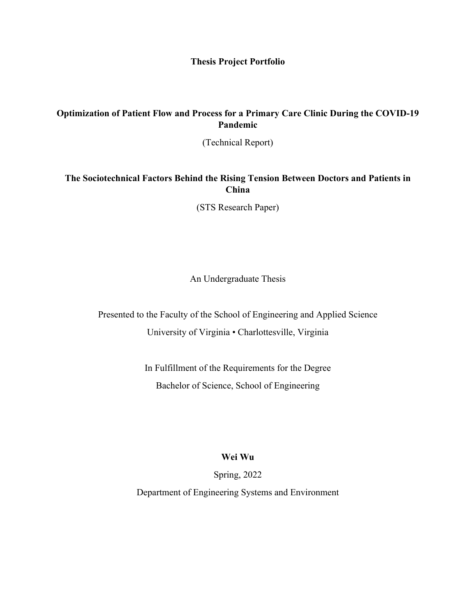**Thesis Project Portfolio**

## **Optimization of Patient Flow and Process for a Primary Care Clinic During the COVID-19 Pandemic**

(Technical Report)

**The Sociotechnical Factors Behind the Rising Tension Between Doctors and Patients in China**

(STS Research Paper)

An Undergraduate Thesis

Presented to the Faculty of the School of Engineering and Applied Science University of Virginia • Charlottesville, Virginia

> In Fulfillment of the Requirements for the Degree Bachelor of Science, School of Engineering

## **Wei Wu**

Spring, 2022

Department of Engineering Systems and Environment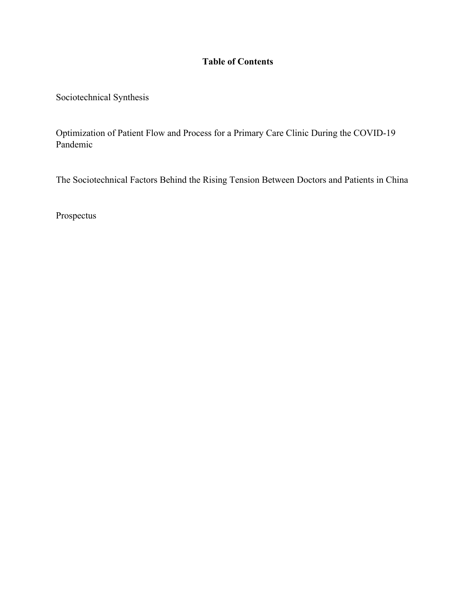## **Table of Contents**

Sociotechnical Synthesis

Optimization of Patient Flow and Process for a Primary Care Clinic During the COVID-19 Pandemic

The Sociotechnical Factors Behind the Rising Tension Between Doctors and Patients in China

Prospectus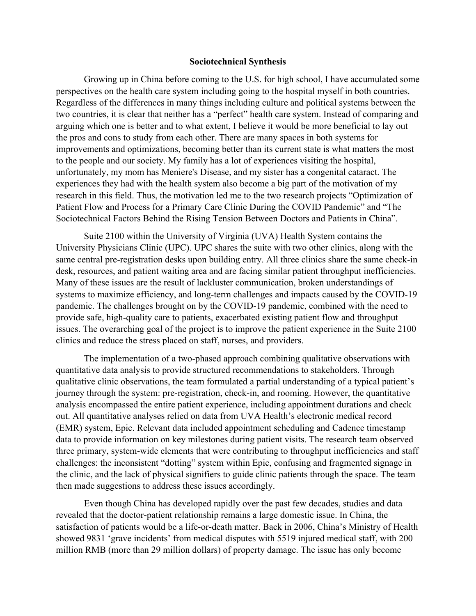## **Sociotechnical Synthesis**

Growing up in China before coming to the U.S. for high school, I have accumulated some perspectives on the health care system including going to the hospital myself in both countries. Regardless of the differences in many things including culture and political systems between the two countries, it is clear that neither has a "perfect" health care system. Instead of comparing and arguing which one is better and to what extent, I believe it would be more beneficial to lay out the pros and cons to study from each other. There are many spaces in both systems for improvements and optimizations, becoming better than its current state is what matters the most to the people and our society. My family has a lot of experiences visiting the hospital, unfortunately, my mom has Meniere's Disease, and my sister has a congenital cataract. The experiences they had with the health system also become a big part of the motivation of my research in this field. Thus, the motivation led me to the two research projects "Optimization of Patient Flow and Process for a Primary Care Clinic During the COVID Pandemic" and "The Sociotechnical Factors Behind the Rising Tension Between Doctors and Patients in China".

Suite 2100 within the University of Virginia (UVA) Health System contains the University Physicians Clinic (UPC). UPC shares the suite with two other clinics, along with the same central pre-registration desks upon building entry. All three clinics share the same check-in desk, resources, and patient waiting area and are facing similar patient throughput inefficiencies. Many of these issues are the result of lackluster communication, broken understandings of systems to maximize efficiency, and long-term challenges and impacts caused by the COVID-19 pandemic. The challenges brought on by the COVID-19 pandemic, combined with the need to provide safe, high-quality care to patients, exacerbated existing patient flow and throughput issues. The overarching goal of the project is to improve the patient experience in the Suite 2100 clinics and reduce the stress placed on staff, nurses, and providers.

The implementation of a two-phased approach combining qualitative observations with quantitative data analysis to provide structured recommendations to stakeholders. Through qualitative clinic observations, the team formulated a partial understanding of a typical patient's journey through the system: pre-registration, check-in, and rooming. However, the quantitative analysis encompassed the entire patient experience, including appointment durations and check out. All quantitative analyses relied on data from UVA Health's electronic medical record (EMR) system, Epic. Relevant data included appointment scheduling and Cadence timestamp data to provide information on key milestones during patient visits. The research team observed three primary, system-wide elements that were contributing to throughput inefficiencies and staff challenges: the inconsistent "dotting" system within Epic, confusing and fragmented signage in the clinic, and the lack of physical signifiers to guide clinic patients through the space. The team then made suggestions to address these issues accordingly.

Even though China has developed rapidly over the past few decades, studies and data revealed that the doctor-patient relationship remains a large domestic issue. In China, the satisfaction of patients would be a life-or-death matter. Back in 2006, China's Ministry of Health showed 9831 'grave incidents' from medical disputes with 5519 injured medical staff, with 200 million RMB (more than 29 million dollars) of property damage. The issue has only become